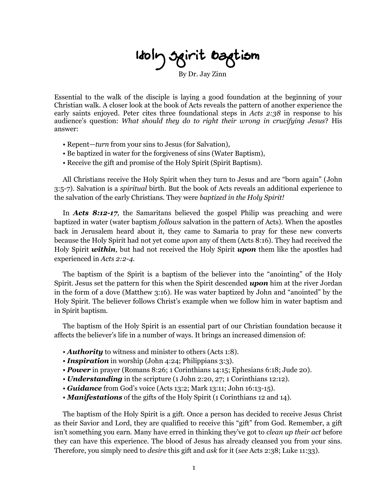**Holy Spirit Baptism** 

By Dr. Jay Zinn

Essential to the walk of the disciple is laying a good foundation at the beginning of your Christian walk. A closer look at the book of Acts reveals the pattern of another experience the early saints enjoyed. Peter cites three foundational steps in *Acts 2:38* in response to his audience's question: *What should they do to right their wrong in crucifying Jesus*? His answer:

- Repent—*turn* from your sins to Jesus (for Salvation),
- Be baptized in water for the forgiveness of sins (Water Baptism),
- Receive the gift and promise of the Holy Spirit (Spirit Baptism).

All Christians receive the Holy Spirit when they turn to Jesus and are "born again" (John 3:5-7). Salvation is a *spiritual* birth. But the book of Acts reveals an additional experience to the salvation of the early Christians. They were *baptized in the Holy Spirit!*

In *Acts 8:12-17,* the Samaritans believed the gospel Philip was preaching and were baptized in water (water baptism *follows* salvation in the pattern of Acts). When the apostles back in Jerusalem heard about it, they came to Samaria to pray for these new converts because the Holy Spirit had not yet come *upon* any of them (Acts 8:16). They had received the Holy Spirit *within*, but had not received the Holy Spirit *upon* them like the apostles had experienced in *Acts 2:2-4.*

The baptism of the Spirit is a baptism of the believer into the "anointing" of the Holy Spirit. Jesus set the pattern for this when the Spirit descended *upon* him at the river Jordan in the form of a dove (Matthew 3:16). He was water baptized by John and "anointed" by the Holy Spirit. The believer follows Christ's example when we follow him in water baptism and in Spirit baptism.

The baptism of the Holy Spirit is an essential part of our Christian foundation because it affects the believer's life in a number of ways. It brings an increased dimension of:

- **Authority** to witness and minister to others (Acts 1:8).
- *Inspiration* in worship (John 4:24; Philippians 3:3).
- *Power* in prayer (Romans 8:26; 1 Corinthians 14:15; Ephesians 6:18; Jude 20).
- *Understanding* in the scripture (1 John 2:20, 27; 1 Corinthians 12:12).
- *Guidance* from God's voice (Acts 13:2; Mark 13:11; John 16:13-15).
- *Manifestations* of the gifts of the Holy Spirit (1 Corinthians 12 and 14).

The baptism of the Holy Spirit is a gift. Once a person has decided to receive Jesus Christ as their Savior and Lord, they are qualified to receive this "gift" from God. Remember, a gift isn't something you earn. Many have erred in thinking they've got to *clean up their act* before they can have this experience. The blood of Jesus has already cleansed you from your sins. Therefore, you simply need to *desire* this gift and *ask* for it (*see* Acts 2:38; Luke 11:33).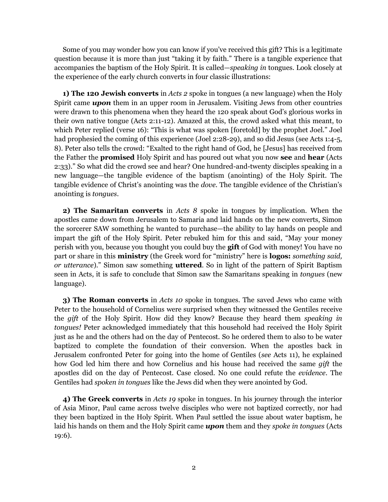Some of you may wonder how you can know if you've received this gift? This is a legitimate question because it is more than just "taking it by faith." There is a tangible experience that accompanies the baptism of the Holy Spirit. It is called—*speaking in* tongues. Look closely at the experience of the early church converts in four classic illustrations:

**1) The 120 Jewish converts** in *Acts 2* spoke in tongues (a new language) when the Holy Spirit came *upon* them in an upper room in Jerusalem. Visiting Jews from other countries were drawn to this phenomena when they heard the 120 speak about God's glorious works in their own native tongue (Acts 2:11-12). Amazed at this, the crowd asked what this meant, to which Peter replied (verse 16): "This is what was spoken [foretold] by the prophet Joel." Joel had prophesied the coming of this experience (Joel 2:28-29), and so did Jesus (see Acts 1:4-5, 8). Peter also tells the crowd: "Exalted to the right hand of God, he [Jesus] has received from the Father the **promised** Holy Spirit and has poured out what you now **see** and **hear** (Acts 2:33)." So what did the crowd see and hear? One hundred-and-twenty disciples speaking in a new language—the tangible evidence of the baptism (anointing) of the Holy Spirit. The tangible evidence of Christ's anointing was the *dove.* The tangible evidence of the Christian's anointing is *tongues*.

**2) The Samaritan converts** in *Acts 8* spoke in tongues by implication. When the apostles came down from Jerusalem to Samaria and laid hands on the new converts, Simon the sorcerer SAW something he wanted to purchase—the ability to lay hands on people and impart the gift of the Holy Spirit. Peter rebuked him for this and said, "May your money perish with you, because you thought you could buy the **gift** of God with money! You have no part or share in this **ministry** (the Greek word for "ministry" here is **logos:** *something said, or utterance*)." Simon saw something **uttered**. So in light of the pattern of Spirit Baptism seen in Acts, it is safe to conclude that Simon saw the Samaritans speaking in *tongues* (new language).

**3) The Roman converts** in *Acts 10* spoke in tongues. The saved Jews who came with Peter to the household of Cornelius were surprised when they witnessed the Gentiles receive the *gift* of the Holy Spirit. How did they know? Because they heard them *speaking in tongues!* Peter acknowledged immediately that this household had received the Holy Spirit just as he and the others had on the day of Pentecost. So he ordered them to also to be water baptized to complete the foundation of their conversion. When the apostles back in Jerusalem confronted Peter for going into the home of Gentiles (*see* Acts 11), he explained how God led him there and how Cornelius and his house had received the same *gift* the apostles did on the day of Pentecost. Case closed. No one could refute the *evidence*. The Gentiles had *spoken in tongues* like the Jews did when they were anointed by God.

**4) The Greek converts** in *Acts 19* spoke in tongues. In his journey through the interior of Asia Minor, Paul came across twelve disciples who were not baptized correctly, nor had they been baptized in the Holy Spirit. When Paul settled the issue about water baptism, he laid his hands on them and the Holy Spirit came *upon* them and they *spoke in tongues* (Acts 19:6).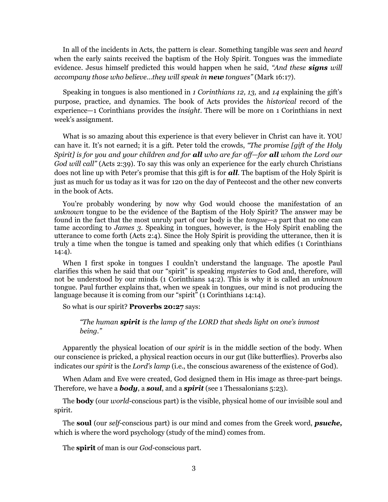In all of the incidents in Acts, the pattern is clear. Something tangible was *seen* and *heard* when the early saints received the baptism of the Holy Spirit. Tongues was the immediate evidence. Jesus himself predicted this would happen when he said, *"And these signs will accompany those who believe…they will speak in new tongues"* (Mark 16:17).

Speaking in tongues is also mentioned in *1 Corinthians 12, 13,* and *14* explaining the gift's purpose, practice, and dynamics. The book of Acts provides the *historical* record of the experience—1 Corinthians provides the *insight*. There will be more on 1 Corinthians in next week's assignment.

What is so amazing about this experience is that every believer in Christ can have it. YOU can have it. It's not earned; it is a gift. Peter told the crowds, *"The promise [gift of the Holy Spirit] is for you and your children and for all who are far off—for all whom the Lord our God will call"* (Acts 2:39). To say this was only an experience for the early church Christians does not line up with Peter's promise that this gift is for *all*. The baptism of the Holy Spirit is just as much for us today as it was for 120 on the day of Pentecost and the other new converts in the book of Acts.

You're probably wondering by now why God would choose the manifestation of an *unknown* tongue to be the evidence of the Baptism of the Holy Spirit? The answer may be found in the fact that the most unruly part of our body is the *tongue*—a part that no one can tame according to *James 3*. Speaking in tongues, however, is the Holy Spirit enabling the utterance to come forth (Acts 2:4). Since the Holy Spirit is providing the utterance, then it is truly a time when the tongue is tamed and speaking only that which edifies (1 Corinthians 14:4).

When I first spoke in tongues I couldn't understand the language. The apostle Paul clarifies this when he said that our "spirit" is speaking *mysteries* to God and, therefore, will not be understood by our minds (1 Corinthians 14:2). This is why it is called an *unknown* tongue. Paul further explains that, when we speak in tongues, our mind is not producing the language because it is coming from our "spirit" (1 Corinthians 14:14).

So what is our spirit? **Proverbs 20:27** says:

#### *"The human spirit is the lamp of the LORD that sheds light on one's inmost being."*

Apparently the physical location of our *spirit* is in the middle section of the body. When our conscience is pricked, a physical reaction occurs in our gut (like butterflies). Proverbs also indicates our *spirit* is the *Lord's lamp* (i.e., the conscious awareness of the existence of God).

When Adam and Eve were created, God designed them in His image as three-part beings. Therefore, we have a *body*, a *soul*, and a *spirit* (see 1 Thessalonians 5:23).

The **body** (our *world*-conscious part) is the visible, physical home of our invisible soul and spirit.

The **soul** (our *self*-conscious part) is our mind and comes from the Greek word, *psuche,* which is where the word psychology (study of the mind) comes from.

The **spirit** of man is our *God*-conscious part.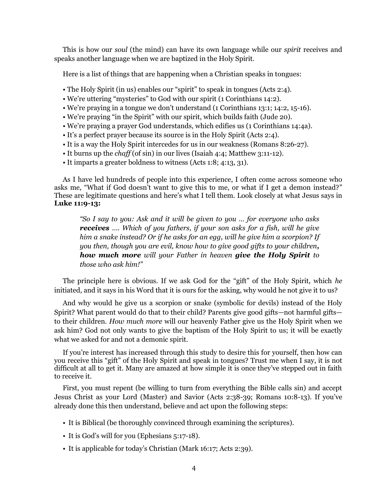This is how our *soul* (the mind) can have its own language while our *spirit* receives and speaks another language when we are baptized in the Holy Spirit.

Here is a list of things that are happening when a Christian speaks in tongues:

- The Holy Spirit (in us) enables our "spirit" to speak in tongues (Acts 2:4).
- We're uttering "mysteries" to God with our spirit (1 Corinthians 14:2).
- We're praying in a tongue we don't understand (1 Corinthians 13:1; 14:2, 15-16).
- We're praying "in the Spirit" with our spirit, which builds faith (Jude 20).
- We're praying a prayer God understands, which edifies us (1 Corinthians 14:4a).
- It's a perfect prayer because its source is in the Holy Spirit (Acts 2:4).
- It is a way the Holy Spirit intercedes for us in our weakness (Romans 8:26-27).
- It burns up the *chaff* (of sin) in our lives (Isaiah 4:4; Matthew 3:11-12).
- It imparts a greater boldness to witness (Acts 1:8; 4:13, 31).

As I have led hundreds of people into this experience, I often come across someone who asks me, "What if God doesn't want to give this to me, or what if I get a demon instead?" These are legitimate questions and here's what I tell them. Look closely at what Jesus says in **Luke 11:9-13:**

*"So I say to you: Ask and it will be given to you … for everyone who asks receives …. Which of you fathers, if your son asks for a fish, will he give him a snake instead? Or if he asks for an egg, will he give him a scorpion? If you then, though you are evil, know how to give good gifts to your children, how much more will your Father in heaven give the Holy Spirit to those who ask him!"*

The principle here is obvious. If we ask God for the "gift" of the Holy Spirit, which *he* initiated, and it says in his Word that it is ours for the asking, why would he not give it to us?

And why would he give us a scorpion or snake (symbolic for devils) instead of the Holy Spirit? What parent would do that to their child? Parents give good gifts—not harmful gifts to their children. *How much more* will our heavenly Father give us the Holy Spirit when we ask him? God not only wants to give the baptism of the Holy Spirit to us; it will be exactly what we asked for and not a demonic spirit.

If you're interest has increased through this study to desire this for yourself, then how can you receive this "gift" of the Holy Spirit and speak in tongues? Trust me when I say, it is not difficult at all to get it. Many are amazed at how simple it is once they've stepped out in faith to receive it.

First, you must repent (be willing to turn from everything the Bible calls sin) and accept Jesus Christ as your Lord (Master) and Savior (Acts 2:38-39; Romans 10:8-13). If you've already done this then understand, believe and act upon the following steps:

- It is Biblical (be thoroughly convinced through examining the scriptures).
- It is God's will for you (Ephesians 5:17-18).
- It is applicable for today's Christian (Mark 16:17; Acts 2:39).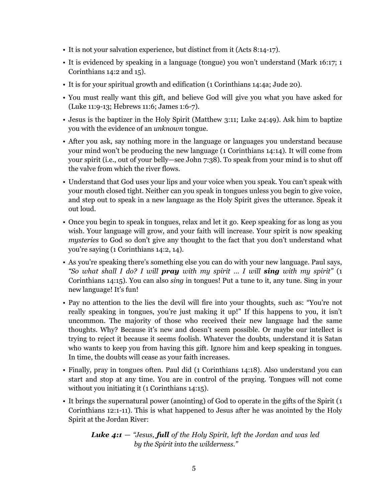- It is not your salvation experience, but distinct from it (Acts 8:14-17).
- It is evidenced by speaking in a language (tongue) you won't understand (Mark 16:17; 1 Corinthians 14:2 and 15).
- It is for your spiritual growth and edification (1 Corinthians 14:4a; Jude 20).
- You must really want this gift, and believe God will give you what you have asked for (Luke 11:9-13; Hebrews 11:6; James 1:6-7).
- Jesus is the baptizer in the Holy Spirit (Matthew 3:11; Luke 24:49). Ask him to baptize you with the evidence of an *unknown* tongue.
- After you ask, say nothing more in the language or languages you understand because your mind won't be producing the new language (1 Corinthians 14:14). It will come from your spirit (i.e., out of your belly—see John 7:38). To speak from your mind is to shut off the valve from which the river flows.
- Understand that God uses your lips and your voice when you speak. You can't speak with your mouth closed tight. Neither can you speak in tongues unless you begin to give voice, and step out to speak in a new language as the Holy Spirit gives the utterance. Speak it out loud.
- Once you begin to speak in tongues, relax and let it go. Keep speaking for as long as you wish. Your language will grow, and your faith will increase. Your spirit is now speaking *mysteries* to God so don't give any thought to the fact that you don't understand what you're saying (1 Corinthians 14:2, 14).
- As you're speaking there's something else you can do with your new language. Paul says, *"So what shall I do? I will pray with my spirit … I will sing with my spirit"* (1 Corinthians 14:15). You can also *sing* in tongues! Put a tune to it, any tune. Sing in your new language! It's fun!
- Pay no attention to the lies the devil will fire into your thoughts, such as: "You're not really speaking in tongues, you're just making it up!" If this happens to you, it isn't uncommon. The majority of those who received their new language had the same thoughts. Why? Because it's new and doesn't seem possible. Or maybe our intellect is trying to reject it because it seems foolish. Whatever the doubts, understand it is Satan who wants to keep you from having this gift. Ignore him and keep speaking in tongues. In time, the doubts will cease as your faith increases.
- Finally, pray in tongues often. Paul did (1 Corinthians 14:18). Also understand you can start and stop at any time. You are in control of the praying. Tongues will not come without you initiating it (1 Corinthians 14:15).
- It brings the supernatural power (anointing) of God to operate in the gifts of the Spirit (1 Corinthians 12:1-11). This is what happened to Jesus after he was anointed by the Holy Spirit at the Jordan River:

*Luke 4:1* — *"Jesus, full of the Holy Spirit, left the Jordan and was led by the Spirit into the wilderness."*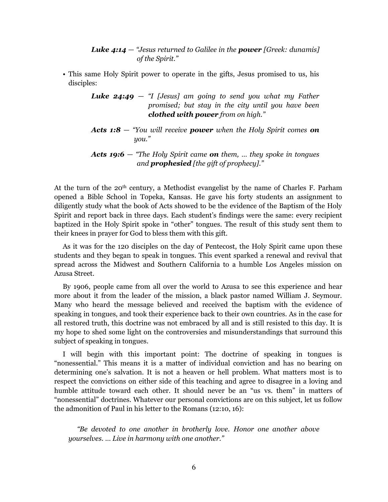*Luke 4:14* — *"Jesus returned to Galilee in the power [Greek: dunamis] of the Spirit."*

• This same Holy Spirit power to operate in the gifts, Jesus promised to us, his disciples:

```
Luke 24:49 — "I [Jesus] am going to send you what my Father 
    promised; but stay in the city until you have been 
    clothed with power from on high."
```
*Acts 1:8* — *"You will receive power when the Holy Spirit comes on you."*

```
Acts 19:6 — "The Holy Spirit came on them, … they spoke in tongues 
 and prophesied [the gift of prophecy]."
```
At the turn of the 20th century, a Methodist evangelist by the name of Charles F. Parham opened a Bible School in Topeka, Kansas. He gave his forty students an assignment to diligently study what the book of Acts showed to be the evidence of the Baptism of the Holy Spirit and report back in three days. Each student's findings were the same: every recipient baptized in the Holy Spirit spoke in "other" tongues. The result of this study sent them to their knees in prayer for God to bless them with this gift.

As it was for the 120 disciples on the day of Pentecost, the Holy Spirit came upon these students and they began to speak in tongues. This event sparked a renewal and revival that spread across the Midwest and Southern California to a humble Los Angeles mission on Azusa Street.

By 1906, people came from all over the world to Azusa to see this experience and hear more about it from the leader of the mission, a black pastor named William J. Seymour. Many who heard the message believed and received the baptism with the evidence of speaking in tongues, and took their experience back to their own countries. As in the case for all restored truth, this doctrine was not embraced by all and is still resisted to this day. It is my hope to shed some light on the controversies and misunderstandings that surround this subject of speaking in tongues.

I will begin with this important point: The doctrine of speaking in tongues is "nonessential." This means it is a matter of individual conviction and has no bearing on determining one's salvation. It is not a heaven or hell problem. What matters most is to respect the convictions on either side of this teaching and agree to disagree in a loving and humble attitude toward each other. It should never be an "us vs. them" in matters of "nonessential" doctrines. Whatever our personal convictions are on this subject, let us follow the admonition of Paul in his letter to the Romans (12:10, 16):

*"Be devoted to one another in brotherly love. Honor one another above yourselves. … Live in harmony with one another."*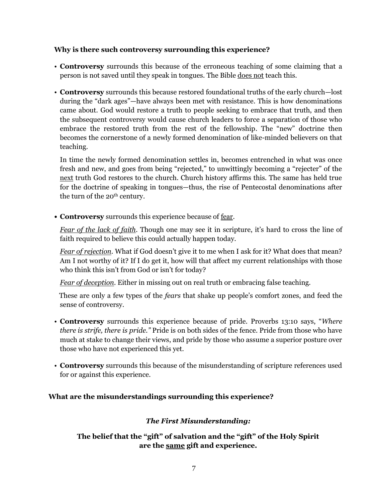# **Why is there such controversy surrounding this experience?**

- **Controversy** surrounds this because of the erroneous teaching of some claiming that a person is not saved until they speak in tongues. The Bible does not teach this.
- **Controversy** surrounds this because restored foundational truths of the early church—lost during the "dark ages"—have always been met with resistance. This is how denominations came about. God would restore a truth to people seeking to embrace that truth, and then the subsequent controversy would cause church leaders to force a separation of those who embrace the restored truth from the rest of the fellowship. The "new" doctrine then becomes the cornerstone of a newly formed denomination of like-minded believers on that teaching.

In time the newly formed denomination settles in, becomes entrenched in what was once fresh and new, and goes from being "rejected," to unwittingly becoming a "rejecter" of the next truth God restores to the church. Church history affirms this. The same has held true for the doctrine of speaking in tongues—thus, the rise of Pentecostal denominations after the turn of the 20<sup>th</sup> century.

**• Controversy** surrounds this experience because of fear.

*Fear of the lack of faith*. Though one may see it in scripture, it's hard to cross the line of faith required to believe this could actually happen today.

*Fear of rejection*. What if God doesn't give it to me when I ask for it? What does that mean? Am I not worthy of it? If I do get it, how will that affect my current relationships with those who think this isn't from God or isn't for today?

*Fear of deception*. Either in missing out on real truth or embracing false teaching.

 These are only a few types of the *fears* that shake up people's comfort zones, and feed the sense of controversy.

- **Controversy** surrounds this experience because of pride. Proverbs 13:10 says, "*Where there is strife, there is pride."* Pride is on both sides of the fence. Pride from those who have much at stake to change their views, and pride by those who assume a superior posture over those who have not experienced this yet.
- **Controversy** surrounds this because of the misunderstanding of scripture references used for or against this experience.

# **What are the misunderstandings surrounding this experience?**

# *The First Misunderstanding:*

# **The belief that the "gift" of salvation and the "gift" of the Holy Spirit are the same gift and experience.**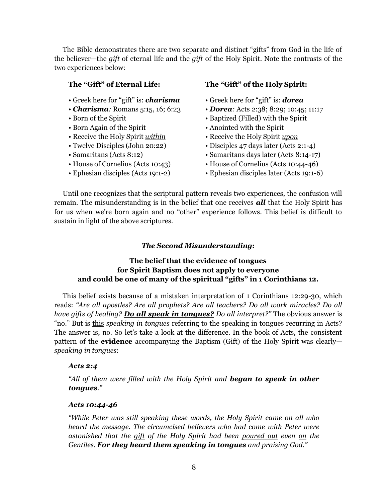The Bible demonstrates there are two separate and distinct "gifts" from God in the life of the believer—the *gift* of eternal life and the *gift* of the Holy Spirit. Note the contrasts of the two experiences below:

- Greek here for "gift" is: *charisma* Greek here for "gift" is: *dorea*
- 
- 
- 
- Receive the Holy Spirit *within* Receive the Holy Spirit *upon*
- 
- 
- 
- 

#### **The "Gift" of Eternal Life: The "Gift" of the Holy Spirit:**

- 
- *Charisma:* Romans 5:15, 16; 6:23 *Dorea:* Acts 2:38; 8:29; 10:45; 11:17
- Born of the Spirit Baptized (Filled) with the Spirit
- Born Again of the Spirit Anointed with the Spirit
	-
- Twelve Disciples (John 20:22) Disciples 47 days later (Acts 2:1-4)
- Samaritans (Acts 8:12) Samaritans days later (Acts 8:14-17)
- House of Cornelius (Acts 10:43) House of Cornelius (Acts 10:44-46)
- Ephesian disciples (Acts 19:1-2) Ephesian disciples later (Acts 19:1-6)

Until one recognizes that the scriptural pattern reveals two experiences, the confusion will remain. The misunderstanding is in the belief that one receives *all* that the Holy Spirit has for us when we're born again and no "other" experience follows. This belief is difficult to sustain in light of the above scriptures.

#### *The Second Misunderstanding***:**

# **The belief that the evidence of tongues for Spirit Baptism does not apply to everyone and could be one of many of the spiritual "gifts" in 1 Corinthians 12.**

This belief exists because of a mistaken interpretation of 1 Corinthians 12:29-30, which reads: *"Are all apostles? Are all prophets? Are all teachers? Do all work miracles? Do all have gifts of healing? Do all speak in tongues? Do all interpret?"* The obvious answer is "no." But is this *speaking in tongues* referring to the speaking in tongues recurring in Acts? The answer is, no. So let's take a look at the difference. In the book of Acts, the consistent pattern of the **evidence** accompanying the Baptism (Gift) of the Holy Spirit was clearly *speaking in tongues*:

#### *Acts 2:4*

*"All of them were filled with the Holy Spirit and began to speak in other tongues."*

#### *Acts 10:44-46*

*"While Peter was still speaking these words, the Holy Spirit came on all who heard the message. The circumcised believers who had come with Peter were astonished that the gift of the Holy Spirit had been poured out even on the Gentiles. For they heard them speaking in tongues and praising God."*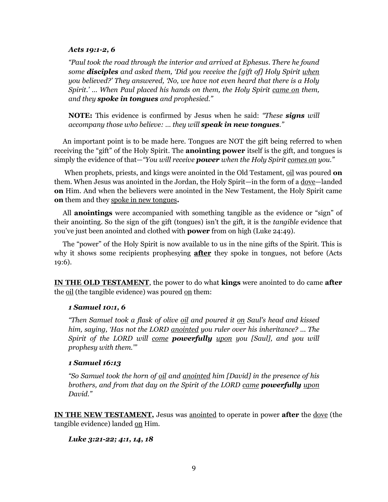#### *Acts 19:1-2, 6*

*"Paul took the road through the interior and arrived at Ephesus. There he found some disciples and asked them, 'Did you receive the [gift of] Holy Spirit when you believed?' They answered, 'No, we have not even heard that there is a Holy Spirit.' … When Paul placed his hands on them, the Holy Spirit came on them, and they spoke in tongues and prophesied."*

**NOTE:** This evidence is confirmed by Jesus when he said: *"These signs will accompany those who believe: … they will speak in new tongues."*

An important point is to be made here. Tongues are NOT the gift being referred to when receiving the "gift" of the Holy Spirit. The **anointing power** itself is the gift, and tongues is simply the evidence of that—*"You will receive power when the Holy Spirit comes on you."*

When prophets, priests, and kings were anointed in the Old Testament, oil was poured **on** them. When Jesus was anointed in the Jordan, the Holy Spirit—in the form of a dove—landed **on** Him. And when the believers were anointed in the New Testament, the Holy Spirit came **on** them and they spoke in new tongues**.**

All **anointings** were accompanied with something tangible as the evidence or "sign" of their anointing. So the sign of the gift (tongues) isn't the gift, it is the *tangible* evidence that you've just been anointed and clothed with **power** from on high (Luke 24:49).

The "power" of the Holy Spirit is now available to us in the nine gifts of the Spirit. This is why it shows some recipients prophesying **after** they spoke in tongues, not before (Acts 19:6).

**IN THE OLD TESTAMENT**, the power to do what **kings** were anointed to do came **after** the <u>oil</u> (the tangible evidence) was poured <u>on</u> them:

#### *1 Samuel 10:1, 6*

*"Then Samuel took a flask of olive oil and poured it on Saul's head and kissed him, saying, 'Has not the LORD anointed you ruler over his inheritance? ... The Spirit of the LORD will come powerfully upon you [Saul], and you will prophesy with them.'"*

#### *1 Samuel 16:13*

*"So Samuel took the horn of oil and anointed him [David] in the presence of his brothers, and from that day on the Spirit of the LORD came powerfully upon David."*

**IN THE NEW TESTAMENT,** Jesus was anointed to operate in power **after** the dove (the tangible evidence) landed on Him.

## *Luke 3:21-22; 4:1, 14, 18*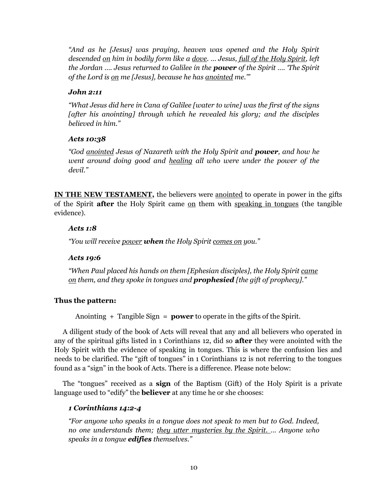*"And as he [Jesus] was praying, heaven was opened and the Holy Spirit descended on him in bodily form like a dove. … Jesus, full of the Holy Spirit, left the Jordan …. Jesus returned to Galilee in the power of the Spirit …. 'The Spirit of the Lord is on me [Jesus], because he has anointed me.'"*

# *John 2:11*

*"What Jesus did here in Cana of Galilee [water to wine] was the first of the signs [after his anointing] through which he revealed his glory; and the disciples believed in him."* 

## *Acts 10:38*

*"God anointed Jesus of Nazareth with the Holy Spirit and power, and how he went around doing good and healing all who were under the power of the devil."*

**IN THE NEW TESTAMENT**, the believers were anointed to operate in power in the gifts of the Spirit **after** the Holy Spirit came on them with speaking in tongues (the tangible evidence).

# *Acts 1:8*

*"You will receive power when the Holy Spirit comes on you."*

# *Acts 19:6*

*"When Paul placed his hands on them [Ephesian disciples], the Holy Spirit came on them, and they spoke in tongues and prophesied [the gift of prophecy]."* 

# **Thus the pattern:**

Anointing + Tangible Sign = **power** to operate in the gifts of the Spirit.

A diligent study of the book of Acts will reveal that any and all believers who operated in any of the spiritual gifts listed in 1 Corinthians 12, did so **after** they were anointed with the Holy Spirit with the evidence of speaking in tongues. This is where the confusion lies and needs to be clarified. The "gift of tongues" in 1 Corinthians 12 is not referring to the tongues found as a "sign" in the book of Acts. There is a difference. Please note below:

The "tongues" received as a **sign** of the Baptism (Gift) of the Holy Spirit is a private language used to "edify" the **believer** at any time he or she chooses:

# *1 Corinthians 14:2-4*

*"For anyone who speaks in a tongue does not speak to men but to God. Indeed, no one understands them; they utter mysteries by the Spirit. … Anyone who speaks in a tongue edifies themselves."*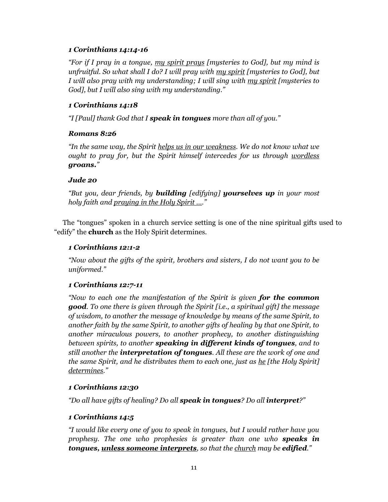# *1 Corinthians 14:14-16*

*"For if I pray in a tongue, my spirit prays [mysteries to God], but my mind is unfruitful. So what shall I do? I will pray with my spirit [mysteries to God], but I will also pray with my understanding; I will sing with my spirit [mysteries to God], but I will also sing with my understanding."*

# *1 Corinthians 14:18*

*"I [Paul] thank God that I speak in tongues more than all of you."*

# *Romans 8:26*

*"In the same way, the Spirit helps us in our weakness. We do not know what we ought to pray for, but the Spirit himself intercedes for us through wordless groans."*

# *Jude 20*

*"But you, dear friends, by building [edifying] yourselves up in your most holy faith and praying in the Holy Spirit …."*

The "tongues" spoken in a church service setting is one of the nine spiritual gifts used to "edify" the **church** as the Holy Spirit determines.

# *1 Corinthians 12:1-2*

*"Now about the gifts of the spirit, brothers and sisters, I do not want you to be uniformed."*

## *1 Corinthians 12:7-11*

*"Now to each one the manifestation of the Spirit is given for the common good. To one there is given through the Spirit [i.e., a spiritual gift] the message of wisdom, to another the message of knowledge by means of the same Spirit, to another faith by the same Spirit, to another gifts of healing by that one Spirit, to another miraculous powers, to another prophecy, to another distinguishing between spirits, to another speaking in different kinds of tongues, and to still another the interpretation of tongues. All these are the work of one and the same Spirit, and he distributes them to each one, just as he [the Holy Spirit] determines."*

# *1 Corinthians 12:30*

*"Do all have gifts of healing? Do all speak in tongues? Do all interpret?"*

# *1 Corinthians 14:5*

*"I would like every one of you to speak in tongues, but I would rather have you prophesy. The one who prophesies is greater than one who speaks in tongues, unless someone interprets, so that the church may be edified."*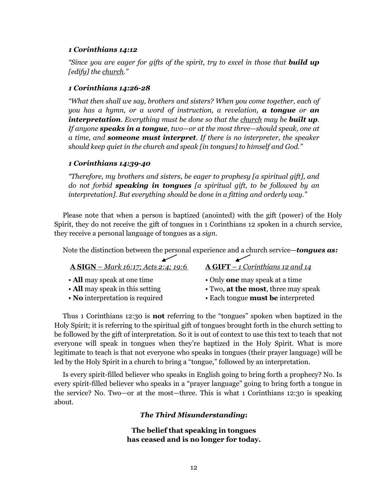#### *1 Corinthians 14:12*

*"Since you are eager for gifts of the spirit, try to excel in those that build up [edify] the church."*

#### *1 Corinthians 14:26-28*

*"What then shall we say, brothers and sisters? When you come together, each of you has a hymn, or a word of instruction, a revelation, a tongue or an interpretation. Everything must be done so that the church may be built up. If anyone speaks in a tongue, two—or at the most three—should speak, one at a time, and someone must interpret. If there is no interpreter, the speaker should keep quiet in the church and speak [in tongues] to himself and God."*

## *1 Corinthians 14:39-40*

*"Therefore, my brothers and sisters, be eager to prophesy [a spiritual gift], and do not forbid speaking in tongues [a spiritual gift, to be followed by an interpretation]. But everything should be done in a fitting and orderly way."*

Please note that when a person is baptized (anointed) with the gift (power) of the Holy Spirit, they do not receive the gift of tongues in 1 Corinthians 12 spoken in a church service, they receive a personal language of tongues as a *sign*.

Note the distinction between the personal experience and a church service—*tongues as:*

## **A SIGN** – *Mark 16:17; Acts 2:4; 19:6* **A GIFT** – *1 Corinthians 12 and 14*

- 
- 
- 
- **All** may speak at one time Only **one** may speak at a time
- All may speak in this setting Two, at the most, three may speak
- **No** interpretation is required Each tongue **must be** interpreted

Thus 1 Corinthians 12:30 is **not** referring to the "tongues" spoken when baptized in the Holy Spirit; it is referring to the spiritual gift of tongues brought forth in the church setting to be followed by the gift of interpretation. So it is out of context to use this text to teach that not everyone will speak in tongues when they're baptized in the Holy Spirit. What is more legitimate to teach is that not everyone who speaks in tongues (their prayer language) will be led by the Holy Spirit in a church to bring a "tongue," followed by an interpretation.

Is every spirit-filled believer who speaks in English going to bring forth a prophecy? No. Is every spirit-filled believer who speaks in a "prayer language" going to bring forth a tongue in the service? No. Two—or at the most—three. This is what 1 Corinthians 12:30 is speaking about.

## *The Third Misunderstanding***:**

**The belief that speaking in tongues has ceased and is no longer for today.**